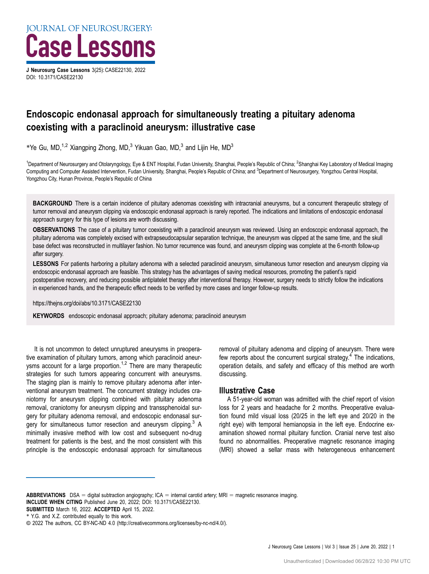

DOI: [10.3171/CASE22130](https://doi.org/10.3171/CASE22130)

# Endoscopic endonasal approach for simultaneously treating a pituitary adenoma coexisting with a paraclinoid aneurysm: illustrative case

\*Ye Gu, MD,<sup>1,2</sup> Xiangping Zhong, MD,<sup>3</sup> Yikuan Gao, MD,<sup>3</sup> and Lijin He, MD<sup>3</sup>

<sup>1</sup>Department of Neurosurgery and Otolaryngology, Eye & ENT Hospital, Fudan University, Shanghai, People's Republic of China; <sup>2</sup>Shanghai Key Laboratory of Medical Imaging Computing and Computer Assisted Intervention, Fudan University, Shanghai, People's Republic of China; and <sup>3</sup>Department of Neurosurgery, Yongzhou Central Hospital, Yongzhou City, Hunan Province, People's Republic of China

BACKGROUND There is a certain incidence of pituitary adenomas coexisting with intracranial aneurysms, but a concurrent therapeutic strategy of tumor removal and aneurysm clipping via endoscopic endonasal approach is rarely reported. The indications and limitations of endoscopic endonasal approach surgery for this type of lesions are worth discussing.

OBSERVATIONS The case of a pituitary tumor coexisting with a paraclinoid aneurysm was reviewed. Using an endoscopic endonasal approach, the pituitary adenoma was completely excised with extrapseudocapsular separation technique, the aneurysm was clipped at the same time, and the skull base defect was reconstructed in multilayer fashion. No tumor recurrence was found, and aneurysm clipping was complete at the 6-month follow-up after surgery.

LESSONS For patients harboring a pituitary adenoma with a selected paraclinoid aneurysm, simultaneous tumor resection and aneurysm clipping via endoscopic endonasal approach are feasible. This strategy has the advantages of saving medical resources, promoting the patient's rapid postoperative recovery, and reducing possible antiplatelet therapy after interventional therapy. However, surgery needs to strictly follow the indications in experienced hands, and the therapeutic effect needs to be verified by more cases and longer follow-up results.

https://thejns.org/doi/abs/10.3171/CASE22130

KEYWORDS endoscopic endonasal approach; pituitary adenoma; paraclinoid aneurysm

It is not uncommon to detect unruptured aneurysms in preoperative examination of pituitary tumors, among which paraclinoid aneur-ysms account for a large proportion.<sup>[1](#page-3-0),[2](#page-3-0)</sup> There are many therapeutic strategies for such tumors appearing concurrent with aneurysms. The staging plan is mainly to remove pituitary adenoma after interventional aneurysm treatment. The concurrent strategy includes craniotomy for aneurysm clipping combined with pituitary adenoma removal, craniotomy for aneurysm clipping and transsphenoidal surgery for pituitary adenoma removal, and endoscopic endonasal surgery for simultaneous tumor resection and aneurysm clipping.<sup>3</sup> A minimally invasive method with low cost and subsequent no-drug treatment for patients is the best, and the most consistent with this principle is the endoscopic endonasal approach for simultaneous

removal of pituitary adenoma and clipping of aneurysm. There were few reports about the concurrent surgical strategy. $4$  The indications, operation details, and safety and efficacy of this method are worth discussing.

# Illustrative Case

A 51-year-old woman was admitted with the chief report of vision loss for 2 years and headache for 2 months. Preoperative evaluation found mild visual loss (20/25 in the left eye and 20/20 in the right eye) with temporal hemianopsia in the left eye. Endocrine examination showed normal pituitary function. Cranial nerve test also found no abnormalities. Preoperative magnetic resonance imaging (MRI) showed a sellar mass with heterogeneous enhancement

SUBMITTED March 16, 2022. ACCEPTED April 15, 2022.

ABBREVIATIONS DSA = digital subtraction angiography; ICA = internal carotid artery; MRI = magnetic resonance imaging. INCLUDE WHEN CITING Published June 20, 2022; DOI: 10.3171/CASE22130.

<sup>\*</sup> Y.G. and X.Z. contributed equally to this work.

<sup>©</sup> 2022 The authors, CC BY-NC-ND 4.0 (http://creativecommons.org/licenses/by-nc-nd/4.0/).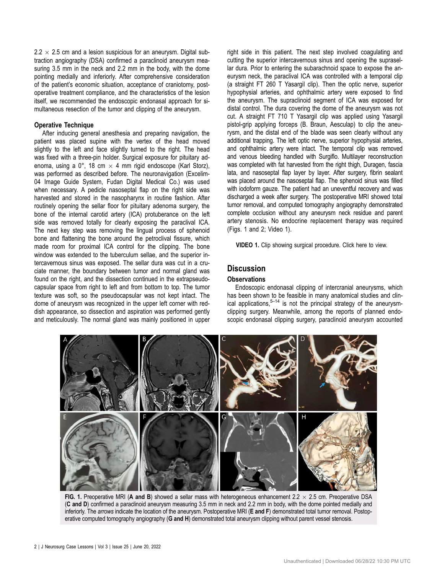$2.2 \times 2.5$  cm and a lesion suspicious for an aneurysm. Digital subtraction angiography (DSA) confirmed a paraclinoid aneurysm measuring 3.5 mm in the neck and 2.2 mm in the body, with the dome pointing medially and inferiorly. After comprehensive consideration of the patient's economic situation, acceptance of craniotomy, postoperative treatment compliance, and the characteristics of the lesion itself, we recommended the endoscopic endonasal approach for simultaneous resection of the tumor and clipping of the aneurysm.

### Operative Technique

After inducing general anesthesia and preparing navigation, the patient was placed supine with the vertex of the head moved slightly to the left and face slightly turned to the right. The head was fixed with a three-pin holder. Surgical exposure for pituitary adenoma, using a 0°, 18 cm  $\times$  4 mm rigid endoscope (Karl Storz), was performed as described before. The neuronavigation (Excelim-04 Image Guide System, Fudan Digital Medical Co.) was used when necessary. A pedicle nasoseptal flap on the right side was harvested and stored in the nasopharynx in routine fashion. After routinely opening the sellar floor for pituitary adenoma surgery, the bone of the internal carotid artery (ICA) protuberance on the left side was removed totally for clearly exposing the paraclival ICA. The next key step was removing the lingual process of sphenoid bone and flattening the bone around the petroclival fissure, which made room for proximal ICA control for the clipping. The bone window was extended to the tuberculum sellae, and the superior intercavernous sinus was exposed. The sellar dura was cut in a cruciate manner, the boundary between tumor and normal gland was found on the right, and the dissection continued in the extrapseudocapsular space from right to left and from bottom to top. The tumor texture was soft, so the pseudocapsular was not kept intact. The dome of aneurysm was recognized in the upper left corner with reddish appearance, so dissection and aspiration was performed gently and meticulously. The normal gland was mainly positioned in upper right side in this patient. The next step involved coagulating and cutting the superior intercavernous sinus and opening the suprasellar dura. Prior to entering the subarachnoid space to expose the aneurysm neck, the paraclival ICA was controlled with a temporal clip (a straight FT 260 T Yasargil clip). Then the optic nerve, superior hypophysial arteries, and ophthalmic artery were exposed to find the aneurysm. The supraclinoid segment of ICA was exposed for distal control. The dura covering the dome of the aneurysm was not cut. A straight FT 710 T Yasargil clip was applied using Yasargil pistol-grip applying forceps (B. Braun, Aesculap) to clip the aneurysm, and the distal end of the blade was seen clearly without any additional trapping. The left optic nerve, superior hypophysial arteries, and ophthalmic artery were intact. The temporal clip was removed and venous bleeding handled with Surgiflo. Multilayer reconstruction was completed with fat harvested from the right thigh, Duragen, fascia lata, and nasoseptal flap layer by layer. After surgery, fibrin sealant was placed around the nasoseptal flap. The sphenoid sinus was filled with iodoform gauze. The patient had an uneventful recovery and was discharged a week after surgery. The postoperative MRI showed total tumor removal, and computed tomography angiography demonstrated complete occlusion without any aneurysm neck residue and parent artery stenosis. No endocrine replacement therapy was required (Figs. 1 and [2;](#page-2-0) [Video 1\)](https://vimeo.com/703303858).

VIDEO 1. Clip showing surgical procedure. [Click here](https://vimeo.com/703303858) to view.

## **Discussion**

### **Observations**

Endoscopic endonasal clipping of intercranial aneurysms, which has been shown to be feasible in many anatomical studies and clinical applications, $5-14$  $5-14$  $5-14$  is not the principal strategy of the aneurysmclipping surgery. Meanwhile, among the reports of planned endoscopic endonasal clipping surgery, paraclinoid aneurysm accounted



FIG. 1. Preoperative MRI (A and B) showed a sellar mass with heterogeneous enhancement  $2.2 \times 2.5$  cm. Preoperative DSA (C and D) confirmed a paraclinoid aneurysm measuring 3.5 mm in neck and 2.2 mm in body, with the dome pointed medially and inferiorly. The arrows indicate the location of the aneurysm. Postoperative MRI (E and F) demonstrated total tumor removal. Postoperative computed tomography angiography (G and H) demonstrated total aneurysm clipping without parent vessel stenosis.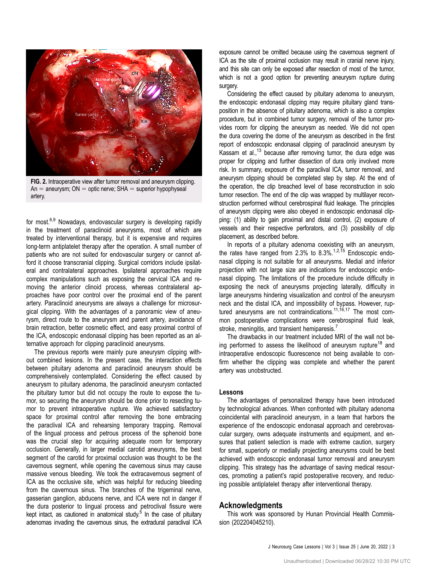<span id="page-2-0"></span>

FIG. 2. Intraoperative view after tumor removal and aneurysm clipping.  $An =$  aneurysm;  $ON =$  optic nerve; SHA  $=$  superior hypophyseal artery.

for most.[6,9](#page-3-0) Nowadays, endovascular surgery is developing rapidly in the treatment of paraclinoid aneurysms, most of which are treated by interventional therapy, but it is expensive and requires long-term antiplatelet therapy after the operation. A small number of patients who are not suited for endovascular surgery or cannot afford it choose transcranial clipping. Surgical corridors include ipsilateral and contralateral approaches. Ipsilateral approaches require complex manipulations such as exposing the cervical ICA and removing the anterior clinoid process, whereas contralateral approaches have poor control over the proximal end of the parent artery. Paraclinoid aneurysms are always a challenge for microsurgical clipping. With the advantages of a panoramic view of aneurysm, direct route to the aneurysm and parent artery, avoidance of brain retraction, better cosmetic effect, and easy proximal control of the ICA, endoscopic endonasal clipping has been reported as an alternative approach for clipping paraclinoid aneurysms.

The previous reports were mainly pure aneurysm clipping without combined lesions. In the present case, the interaction effects between pituitary adenoma and paraclinoid aneurysm should be comprehensively contemplated. Considering the effect caused by aneurysm to pituitary adenoma, the paraclinoid aneurysm contacted the pituitary tumor but did not occupy the route to expose the tumor, so securing the aneurysm should be done prior to resecting tumor to prevent intraoperative rupture. We achieved satisfactory space for proximal control after removing the bone embracing the paraclival ICA and rehearsing temporary trapping. Removal of the lingual process and petrous process of the sphenoid bone was the crucial step for acquiring adequate room for temporary occlusion. Generally, in larger medial carotid aneurysms, the best segment of the carotid for proximal occlusion was thought to be the cavernous segment, while opening the cavernous sinus may cause massive venous bleeding. We took the extracavernous segment of ICA as the occlusive site, which was helpful for reducing bleeding from the cavernous sinus. The branches of the trigeminal nerve, gasserian ganglion, abducens nerve, and ICA were not in danger if the dura posterior to lingual process and petroclival fissure were kept intact, as cautioned in anatomical study.<sup>5</sup> In the case of pituitary adenomas invading the cavernous sinus, the extradural paraclival ICA

exposure cannot be omitted because using the cavernous segment of ICA as the site of proximal occlusion may result in cranial nerve injury, and this site can only be exposed after resection of most of the tumor, which is not a good option for preventing aneurysm rupture during surgery.

Considering the effect caused by pituitary adenoma to aneurysm, the endoscopic endonasal clipping may require pituitary gland transposition in the absence of pituitary adenoma, which is also a complex procedure, but in combined tumor surgery, removal of the tumor provides room for clipping the aneurysm as needed. We did not open the dura covering the dome of the aneurysm as described in the first report of endoscopic endonasal clipping of paraclinoid aneurysm by Kassam et al., $^{13}$  because after removing tumor, the dura edge was proper for clipping and further dissection of dura only involved more risk. In summary, exposure of the paraclival ICA, tumor removal, and aneurysm clipping should be completed step by step. At the end of the operation, the clip breached level of base reconstruction in solo tumor resection. The end of the clip was wrapped by multilayer reconstruction performed without cerebrospinal fluid leakage. The principles of aneurysm clipping were also obeyed in endoscopic endonasal clipping: (1) ability to gain proximal and distal control, (2) exposure of vessels and their respective perforators, and (3) possibility of clip placement, as described before.

In reports of a pituitary adenoma coexisting with an aneurysm, the rates have ranged from 2.3% to  $8.3\%$ .<sup>1,2,15</sup> Endoscopic endonasal clipping is not suitable for all aneurysms. Medial and inferior projection with not large size are indications for endoscopic endonasal clipping. The limitations of the procedure include difficulty in exposing the neck of aneurysms projecting laterally, difficulty in large aneurysms hindering visualization and control of the aneurysm neck and the distal ICA, and impossibility of bypass. However, rup-tured aneurysms are not contraindications.<sup>[11](#page-3-0),[16](#page-3-0),[17](#page-3-0)</sup> The most common postoperative complications were cerebrospinal fluid leak, stroke, meningitis, and transient hemiparesis.<sup>[7](#page-3-0)</sup>

The drawbacks in our treatment included MRI of the wall not be-ing performed to assess the likelihood of aneurysm rupture<sup>[18](#page-3-0)</sup> and intraoperative endoscopic fluorescence not being available to confirm whether the clipping was complete and whether the parent artery was unobstructed.

#### Lessons

The advantages of personalized therapy have been introduced by technological advances. When confronted with pituitary adenoma coincidental with paraclinoid aneurysm, in a team that harbors the experience of the endoscopic endonasal approach and cerebrovascular surgery, owns adequate instruments and equipment, and ensures that patient selection is made with extreme caution, surgery for small, superiorly or medially projecting aneurysms could be best achieved with endoscopic endonasal tumor removal and aneurysm clipping. This strategy has the advantage of saving medical resources, promoting a patient's rapid postoperative recovery, and reducing possible antiplatelet therapy after interventional therapy.

### Acknowledgments

This work was sponsored by Hunan Provincial Health Commission (202204045210).